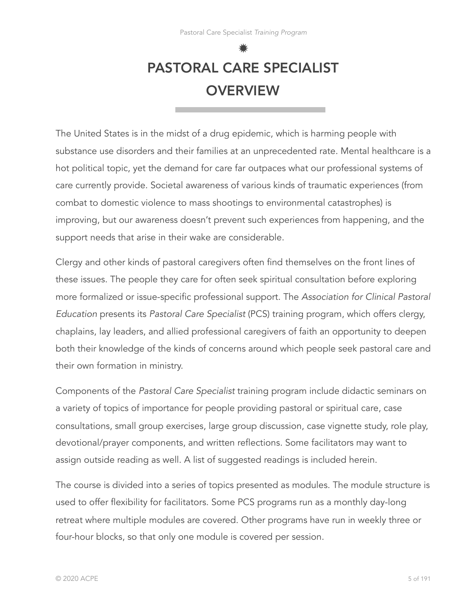# ✹ PASTORAL CARE SPECIALIST **OVERVIEW**

The United States is in the midst of a drug epidemic, which is harming people with substance use disorders and their families at an unprecedented rate. Mental healthcare is a hot political topic, yet the demand for care far outpaces what our professional systems of care currently provide. Societal awareness of various kinds of traumatic experiences (from combat to domestic violence to mass shootings to environmental catastrophes) is improving, but our awareness doesn't prevent such experiences from happening, and the support needs that arise in their wake are considerable.

Clergy and other kinds of pastoral caregivers often find themselves on the front lines of these issues. The people they care for often seek spiritual consultation before exploring more formalized or issue-specific professional support. The *Association for Clinical Pastoral Education* presents its *Pastoral Care Specialist* (PCS) training program, which offers clergy, chaplains, lay leaders, and allied professional caregivers of faith an opportunity to deepen both their knowledge of the kinds of concerns around which people seek pastoral care and their own formation in ministry.

Components of the *Pastoral Care Specialist* training program include didactic seminars on a variety of topics of importance for people providing pastoral or spiritual care, case consultations, small group exercises, large group discussion, case vignette study, role play, devotional/prayer components, and written reflections. Some facilitators may want to assign outside reading as well. A list of suggested readings is included herein.

The course is divided into a series of topics presented as modules. The module structure is used to offer flexibility for facilitators. Some PCS programs run as a monthly day-long retreat where multiple modules are covered. Other programs have run in weekly three or four-hour blocks, so that only one module is covered per session.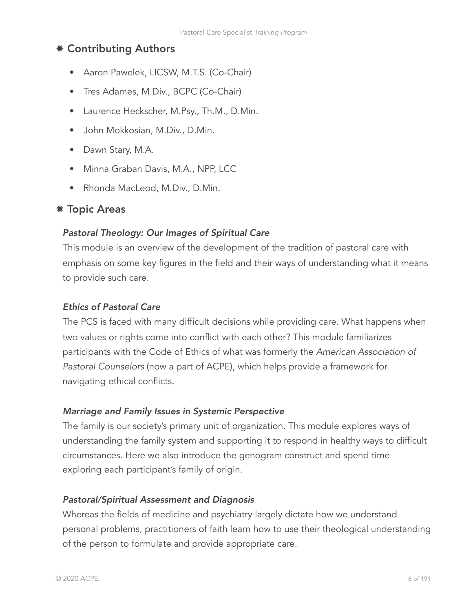# ✹ Contributing Authors

- Aaron Pawelek, LICSW, M.T.S. (Co-Chair)
- Tres Adames, M.Div., BCPC (Co-Chair)
- Laurence Heckscher, M.Psy., Th.M., D.Min.
- John Mokkosian, M.Div., D.Min.
- Dawn Stary, M.A.
- Minna Graban Davis, M.A., NPP, LCC
- Rhonda MacLeod, M.Div., D.Min.

# ✹ Topic Areas

#### *Pastoral Theology: Our Images of Spiritual Care*

This module is an overview of the development of the tradition of pastoral care with emphasis on some key figures in the field and their ways of understanding what it means to provide such care.

#### *Ethics of Pastoral Care*

The PCS is faced with many difficult decisions while providing care. What happens when two values or rights come into conflict with each other? This module familiarizes participants with the Code of Ethics of what was formerly the *American Association of Pastoral Counselors* (now a part of ACPE), which helps provide a framework for navigating ethical conflicts.

#### *Marriage and Family Issues in Systemic Perspective*

The family is our society's primary unit of organization. This module explores ways of understanding the family system and supporting it to respond in healthy ways to difficult circumstances. Here we also introduce the genogram construct and spend time exploring each participant's family of origin.

#### *Pastoral/Spiritual Assessment and Diagnosis*

Whereas the fields of medicine and psychiatry largely dictate how we understand personal problems, practitioners of faith learn how to use their theological understanding of the person to formulate and provide appropriate care.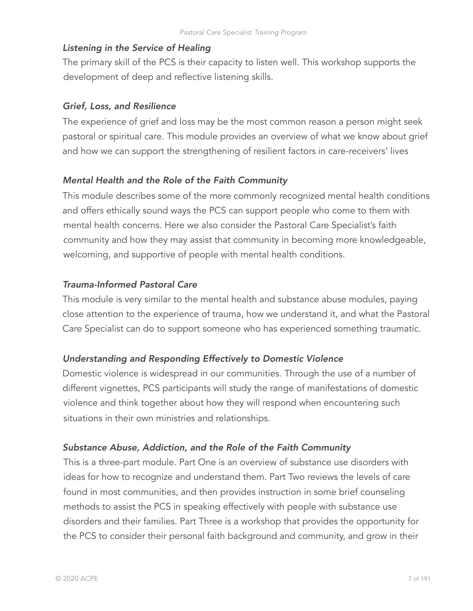# *Listening in the Service of Healing*

The primary skill of the PCS is their capacity to listen well. This workshop supports the development of deep and reflective listening skills.

# *Grief, Loss, and Resilience*

The experience of grief and loss may be the most common reason a person might seek pastoral or spiritual care. This module provides an overview of what we know about grief and how we can support the strengthening of resilient factors in care-receivers' lives

# *Mental Health and the Role of the Faith Community*

This module describes some of the more commonly recognized mental health conditions and offers ethically sound ways the PCS can support people who come to them with mental health concerns. Here we also consider the Pastoral Care Specialist's faith community and how they may assist that community in becoming more knowledgeable, welcoming, and supportive of people with mental health conditions.

# *Trauma-Informed Pastoral Care*

This module is very similar to the mental health and substance abuse modules, paying close attention to the experience of trauma, how we understand it, and what the Pastoral Care Specialist can do to support someone who has experienced something traumatic.

# *Understanding and Responding Effectively to Domestic Violence*

Domestic violence is widespread in our communities. Through the use of a number of different vignettes, PCS participants will study the range of manifestations of domestic violence and think together about how they will respond when encountering such situations in their own ministries and relationships.

# *Substance Abuse, Addiction, and the Role of the Faith Community*

This is a three-part module. Part One is an overview of substance use disorders with ideas for how to recognize and understand them. Part Two reviews the levels of care found in most communities, and then provides instruction in some brief counseling methods to assist the PCS in speaking effectively with people with substance use disorders and their families. Part Three is a workshop that provides the opportunity for the PCS to consider their personal faith background and community, and grow in their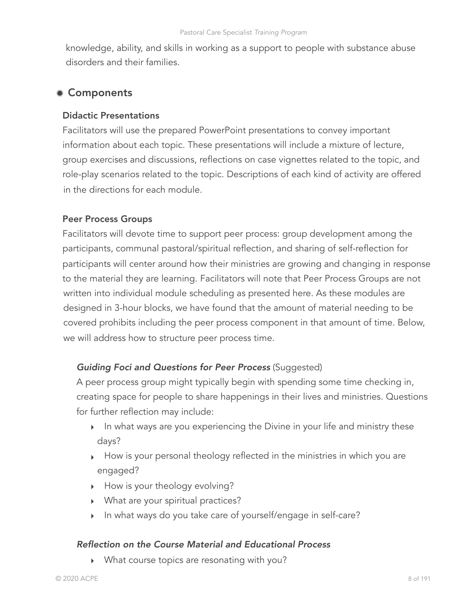knowledge, ability, and skills in working as a support to people with substance abuse disorders and their families.

# ✹ Components

### Didactic Presentations

Facilitators will use the prepared PowerPoint presentations to convey important information about each topic. These presentations will include a mixture of lecture, group exercises and discussions, reflections on case vignettes related to the topic, and role-play scenarios related to the topic. Descriptions of each kind of activity are offered in the directions for each module.

## Peer Process Groups

Facilitators will devote time to support peer process: group development among the participants, communal pastoral/spiritual reflection, and sharing of self-reflection for participants will center around how their ministries are growing and changing in response to the material they are learning. Facilitators will note that Peer Process Groups are not written into individual module scheduling as presented here. As these modules are designed in 3-hour blocks, we have found that the amount of material needing to be covered prohibits including the peer process component in that amount of time. Below, we will address how to structure peer process time.

# *Guiding Foci and Questions for Peer Process* (Suggested)

A peer process group might typically begin with spending some time checking in, creating space for people to share happenings in their lives and ministries. Questions for further reflection may include:

- ‣ In what ways are you experiencing the Divine in your life and ministry these days?
- ‣ How is your personal theology reflected in the ministries in which you are engaged?
- ‣ How is your theology evolving?
- ‣ What are your spiritual practices?
- ‣ In what ways do you take care of yourself/engage in self-care?

#### *Reflection on the Course Material and Educational Process*

‣ What course topics are resonating with you?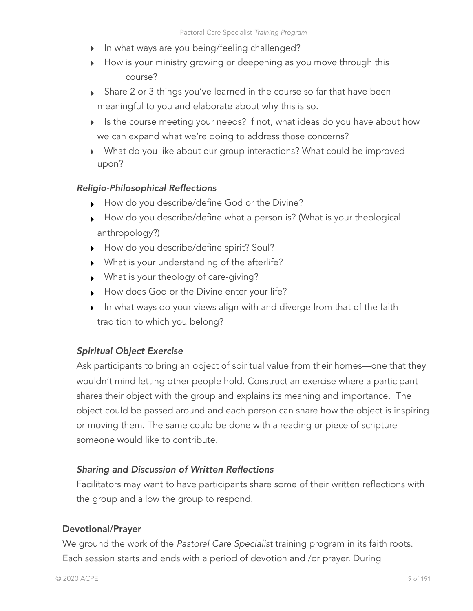- ‣ In what ways are you being/feeling challenged?
- ‣ How is your ministry growing or deepening as you move through this course?
- ‣ Share 2 or 3 things you've learned in the course so far that have been meaningful to you and elaborate about why this is so.
- ‣ Is the course meeting your needs? If not, what ideas do you have about how we can expand what we're doing to address those concerns?
- ‣ What do you like about our group interactions? What could be improved upon?

# *Religio-Philosophical Reflections*

- ‣ How do you describe/define God or the Divine?
- ‣ How do you describe/define what a person is? (What is your theological anthropology?)
- ‣ How do you describe/define spirit? Soul?
- ‣ What is your understanding of the afterlife?
- ‣ What is your theology of care-giving?
- ‣ How does God or the Divine enter your life?
- ‣ In what ways do your views align with and diverge from that of the faith tradition to which you belong?

# *Spiritual Object Exercise*

Ask participants to bring an object of spiritual value from their homes—one that they wouldn't mind letting other people hold. Construct an exercise where a participant shares their object with the group and explains its meaning and importance. The object could be passed around and each person can share how the object is inspiring or moving them. The same could be done with a reading or piece of scripture someone would like to contribute.

# *Sharing and Discussion of Written Reflections*

Facilitators may want to have participants share some of their written reflections with the group and allow the group to respond.

# Devotional/Prayer

We ground the work of the *Pastoral Care Specialist* training program in its faith roots. Each session starts and ends with a period of devotion and /or prayer. During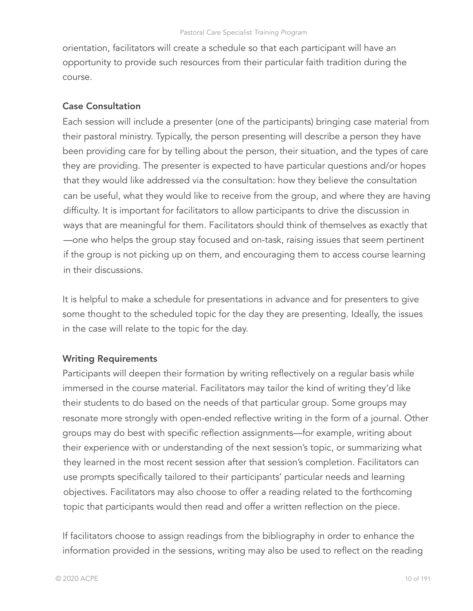orientation, facilitators will create a schedule so that each participant will have an opportunity to provide such resources from their particular faith tradition during the course.

# Case Consultation

Each session will include a presenter (one of the participants) bringing case material from their pastoral ministry. Typically, the person presenting will describe a person they have been providing care for by telling about the person, their situation, and the types of care they are providing. The presenter is expected to have particular questions and/or hopes that they would like addressed via the consultation: how they believe the consultation can be useful, what they would like to receive from the group, and where they are having difficulty. It is important for facilitators to allow participants to drive the discussion in ways that are meaningful for them. Facilitators should think of themselves as exactly that —one who helps the group stay focused and on-task, raising issues that seem pertinent if the group is not picking up on them, and encouraging them to access course learning in their discussions.

It is helpful to make a schedule for presentations in advance and for presenters to give some thought to the scheduled topic for the day they are presenting. Ideally, the issues in the case will relate to the topic for the day.

# Writing Requirements

Participants will deepen their formation by writing reflectively on a regular basis while immersed in the course material. Facilitators may tailor the kind of writing they'd like their students to do based on the needs of that particular group. Some groups may resonate more strongly with open-ended reflective writing in the form of a journal. Other groups may do best with specific reflection assignments—for example, writing about their experience with or understanding of the next session's topic, or summarizing what they learned in the most recent session after that session's completion. Facilitators can use prompts specifically tailored to their participants' particular needs and learning objectives. Facilitators may also choose to offer a reading related to the forthcoming topic that participants would then read and offer a written reflection on the piece.

If facilitators choose to assign readings from the bibliography in order to enhance the information provided in the sessions, writing may also be used to reflect on the reading